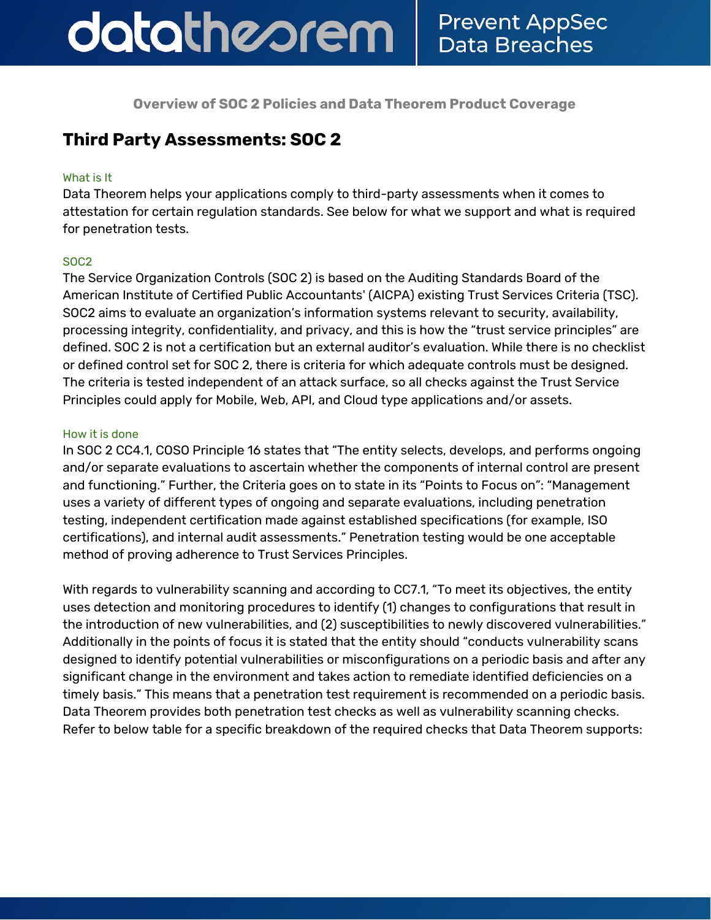## datatheorem **Prevent AppSec Data Breaches**

**Overview of SOC 2 Policies and Data Theorem Product Coverage**

## **Third Party Assessments: SOC 2**

#### What is It

Data Theorem helps your applications comply to third-party assessments when it comes to attestation for certain regulation standards. See below for what we support and what is required for penetration tests.

### SOC2

The Service Organization Controls (SOC 2) is based on the Auditing Standards Board of the American Institute of Certified Public Accountants' (AICPA) existing Trust Services Criteria (TSC). SOC2 aims to evaluate an organization's information systems relevant to security, availability, processing integrity, confidentiality, and privacy, and this is how the "trust service principles" are defined. SOC 2 is not a certification but an external auditor's evaluation. While there is no checklist or defined control set for SOC 2, there is criteria for which adequate controls must be designed. The criteria is tested independent of an attack surface, so all checks against the Trust Service Principles could apply for Mobile, Web, API, and Cloud type applications and/or assets.

#### How it is done

In SOC 2 CC4.1, COSO Principle 16 states that "The entity selects, develops, and performs ongoing and/or separate evaluations to ascertain whether the components of internal control are present and functioning." Further, the Criteria goes on to state in its "Points to Focus on": "Management uses a variety of different types of ongoing and separate evaluations, including penetration testing, independent certification made against established specifications (for example, ISO certifications), and internal audit assessments." Penetration testing would be one acceptable method of proving adherence to Trust Services Principles.

With regards to vulnerability scanning and according to CC7.1, "To meet its objectives, the entity uses detection and monitoring procedures to identify (1) changes to configurations that result in the introduction of new vulnerabilities, and (2) susceptibilities to newly discovered vulnerabilities." Additionally in the points of focus it is stated that the entity should "conducts vulnerability scans designed to identify potential vulnerabilities or misconfigurations on a periodic basis and after any significant change in the environment and takes action to remediate identified deficiencies on a timely basis." This means that a penetration test requirement is recommended on a periodic basis. Data Theorem provides both penetration test checks as well as vulnerability scanning checks. Refer to below table for a specific breakdown of the required checks that Data Theorem supports: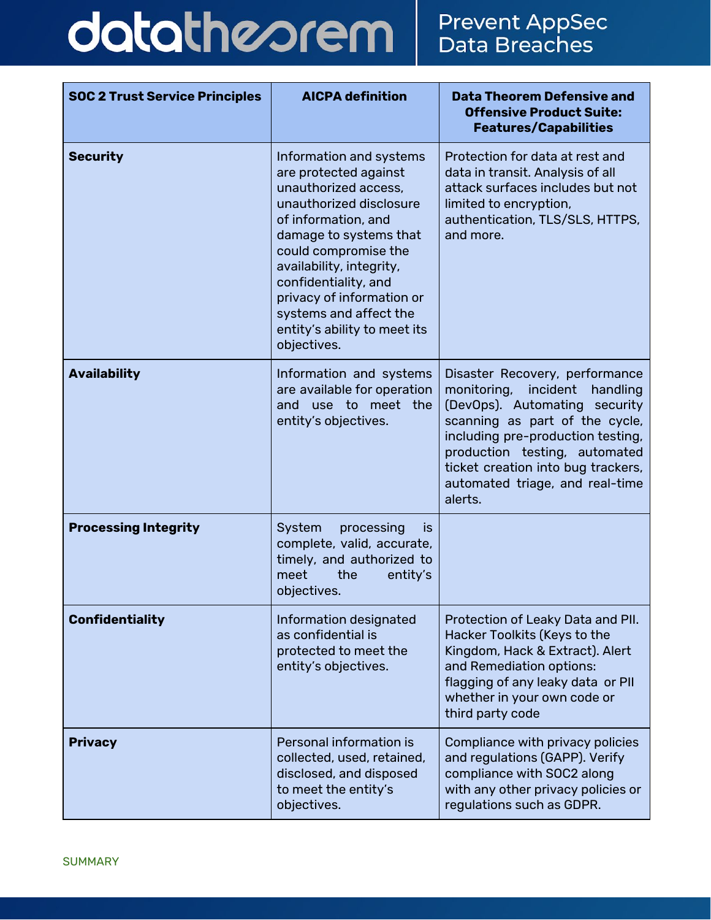# datatheorem

| <b>SOC 2 Trust Service Principles</b> | <b>AICPA definition</b>                                                                                                                                                                                                                                                                                                                | <b>Data Theorem Defensive and</b><br><b>Offensive Product Suite:</b><br><b>Features/Capabilities</b>                                                                                                                                                                                               |  |
|---------------------------------------|----------------------------------------------------------------------------------------------------------------------------------------------------------------------------------------------------------------------------------------------------------------------------------------------------------------------------------------|----------------------------------------------------------------------------------------------------------------------------------------------------------------------------------------------------------------------------------------------------------------------------------------------------|--|
| <b>Security</b>                       | Information and systems<br>are protected against<br>unauthorized access,<br>unauthorized disclosure<br>of information, and<br>damage to systems that<br>could compromise the<br>availability, integrity,<br>confidentiality, and<br>privacy of information or<br>systems and affect the<br>entity's ability to meet its<br>objectives. | Protection for data at rest and<br>data in transit. Analysis of all<br>attack surfaces includes but not<br>limited to encryption,<br>authentication, TLS/SLS, HTTPS,<br>and more.                                                                                                                  |  |
| <b>Availability</b>                   | Information and systems<br>are available for operation<br>use to meet the<br>and<br>entity's objectives.                                                                                                                                                                                                                               | Disaster Recovery, performance<br>monitoring,<br>incident<br>handling<br>(DevOps). Automating security<br>scanning as part of the cycle,<br>including pre-production testing,<br>production testing, automated<br>ticket creation into bug trackers,<br>automated triage, and real-time<br>alerts. |  |
| <b>Processing Integrity</b>           | System<br>processing<br><b>IS</b><br>complete, valid, accurate,<br>timely, and authorized to<br>meet<br>the<br>entity's<br>objectives.                                                                                                                                                                                                 |                                                                                                                                                                                                                                                                                                    |  |
| <b>Confidentiality</b>                | Information designated<br>as confidential is<br>protected to meet the<br>entity's objectives.                                                                                                                                                                                                                                          | Protection of Leaky Data and PII.<br>Hacker Toolkits (Keys to the<br>Kingdom, Hack & Extract). Alert<br>and Remediation options:<br>flagging of any leaky data or PII<br>whether in your own code or<br>third party code                                                                           |  |
| <b>Privacy</b>                        | Personal information is<br>collected, used, retained,<br>disclosed, and disposed<br>to meet the entity's<br>objectives.                                                                                                                                                                                                                | Compliance with privacy policies<br>and regulations (GAPP). Verify<br>compliance with SOC2 along<br>with any other privacy policies or<br>regulations such as GDPR.                                                                                                                                |  |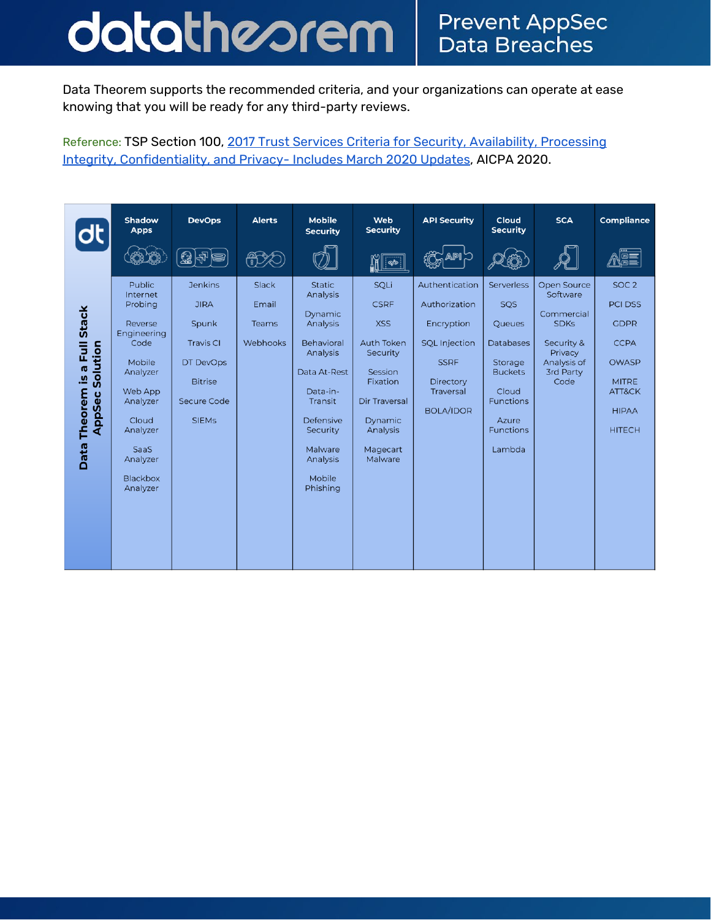## datatheorem **Prevent AppSec** Data Breaches

Data Theorem supports the recommended criteria, and your organizations can operate at ease knowing that you will be ready for any third-party reviews.

Reference: TSP Section 100, 2017 Trust Services Criteria for Security, [Availability,](https://www.aicpa.org/content/dam/aicpa/interestareas/frc/assuranceadvisoryservices/downloadabledocuments/trust-services-criteria.pdf) Processing Integrity, [Confidentiality,](https://www.aicpa.org/content/dam/aicpa/interestareas/frc/assuranceadvisoryservices/downloadabledocuments/trust-services-criteria.pdf) and Privacy- Includes March 2020 Updates, AICPA 2020.

|                                                                                                   | <b>Shadow</b><br><b>Apps</b>                                                                                                                                                                | <b>DevOps</b>                                                                                                            | <b>Alerts</b>                       | <b>Mobile</b><br><b>Security</b>                                                                                                                                                        | Web<br><b>Security</b>                                                                                                                                          | <b>API Security</b>                                                                                                                | Cloud<br><b>Security</b>                                                                                                                                | <b>SCA</b>                                                                                                                      | <b>Compliance</b>                                                                                                                           |
|---------------------------------------------------------------------------------------------------|---------------------------------------------------------------------------------------------------------------------------------------------------------------------------------------------|--------------------------------------------------------------------------------------------------------------------------|-------------------------------------|-----------------------------------------------------------------------------------------------------------------------------------------------------------------------------------------|-----------------------------------------------------------------------------------------------------------------------------------------------------------------|------------------------------------------------------------------------------------------------------------------------------------|---------------------------------------------------------------------------------------------------------------------------------------------------------|---------------------------------------------------------------------------------------------------------------------------------|---------------------------------------------------------------------------------------------------------------------------------------------|
|                                                                                                   |                                                                                                                                                                                             |                                                                                                                          | <u>(ജ</u>                           |                                                                                                                                                                                         | $\ll$                                                                                                                                                           |                                                                                                                                    |                                                                                                                                                         |                                                                                                                                 |                                                                                                                                             |
| <b>Stack</b><br>昆<br>Solution<br><b>G</b><br>$\overline{a}$ .<br>Theorem<br>AppSec<br><b>Data</b> | Public<br>Internet<br>Probing<br>Reverse<br>Engineering<br>Code<br>Mobile<br>Analyzer<br>Web App<br>Analyzer<br>Cloud<br>Analyzer<br><b>SaaS</b><br>Analyzer<br><b>Blackbox</b><br>Analyzer | <b>Jenkins</b><br><b>JIRA</b><br>Spunk<br><b>Travis CI</b><br>DT DevOps<br><b>Bitrise</b><br>Secure Code<br><b>SIEMs</b> | Slack<br>Email<br>Teams<br>Webhooks | <b>Static</b><br>Analysis<br>Dynamic<br>Analysis<br>Behavioral<br>Analysis<br>Data At-Rest<br>Data-in-<br>Transit<br>Defensive<br>Security<br>Malware<br>Analysis<br>Mobile<br>Phishing | SQLi<br><b>CSRF</b><br><b>XSS</b><br><b>Auth Token</b><br>Security<br>Session<br>Fixation<br><b>Dir Traversal</b><br>Dynamic<br>Analysis<br>Magecart<br>Malware | Authentication<br>Authorization<br>Encryption<br><b>SQL Injection</b><br><b>SSRF</b><br>Directory<br>Traversal<br><b>BOLA/IDOR</b> | Serverless<br>SQS<br><b>Oueues</b><br><b>Databases</b><br>Storage<br><b>Buckets</b><br>Cloud<br><b>Functions</b><br>Azure<br><b>Functions</b><br>Lambda | <b>Open Source</b><br>Software<br>Commercial<br><b>SDKs</b><br>Security &<br>Privacy<br>Analysis of<br><b>3rd Party</b><br>Code | SOC <sub>2</sub><br><b>PCI DSS</b><br><b>GDPR</b><br><b>CCPA</b><br><b>OWASP</b><br><b>MITRE</b><br>ATT&CK<br><b>HIPAA</b><br><b>HITECH</b> |